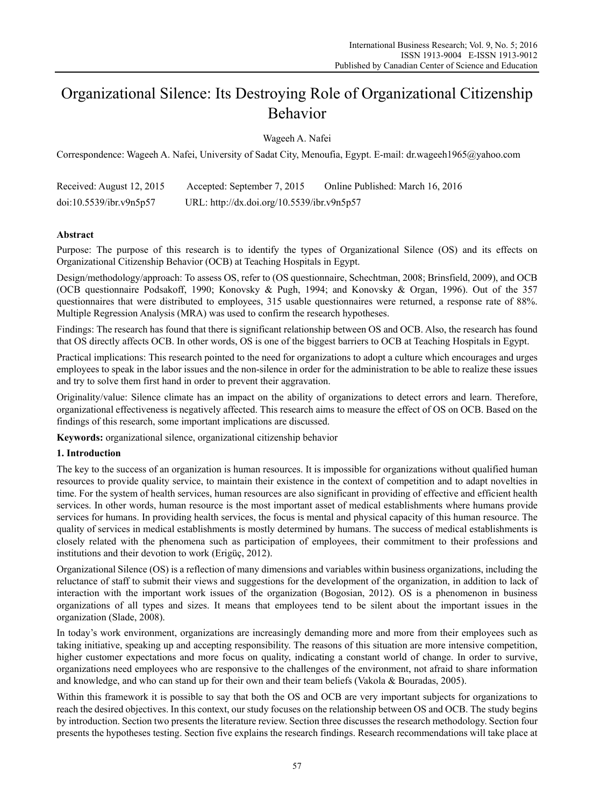# Organizational Silence: Its Destroying Role of Organizational Citizenship Behavior

Wageeh A. Nafei

Correspondence: Wageeh A. Nafei, University of Sadat City, Menoufia, Egypt. E-mail: dr.wageeh1965@yahoo.com

| Received: August 12, 2015 | Accepted: September 7, 2015                | Online Published: March 16, 2016 |
|---------------------------|--------------------------------------------|----------------------------------|
| doi:10.5539/ibr.v9n5p57   | URL: http://dx.doi.org/10.5539/ibr.v9n5p57 |                                  |

# **Abstract**

Purpose: The purpose of this research is to identify the types of Organizational Silence (OS) and its effects on Organizational Citizenship Behavior (OCB) at Teaching Hospitals in Egypt.

Design/methodology/approach: To assess OS, refer to (OS questionnaire, Schechtman, 2008; Brinsfield, 2009), and OCB (OCB questionnaire Podsakoff, 1990; Konovsky & Pugh, 1994; and Konovsky & Organ, 1996). Out of the 357 questionnaires that were distributed to employees, 315 usable questionnaires were returned, a response rate of 88%. Multiple Regression Analysis (MRA) was used to confirm the research hypotheses.

Findings: The research has found that there is significant relationship between OS and OCB. Also, the research has found that OS directly affects OCB. In other words, OS is one of the biggest barriers to OCB at Teaching Hospitals in Egypt.

Practical implications: This research pointed to the need for organizations to adopt a culture which encourages and urges employees to speak in the labor issues and the non-silence in order for the administration to be able to realize these issues and try to solve them first hand in order to prevent their aggravation.

Originality/value: Silence climate has an impact on the ability of organizations to detect errors and learn. Therefore, organizational effectiveness is negatively affected. This research aims to measure the effect of OS on OCB. Based on the findings of this research, some important implications are discussed.

**Keywords:** organizational silence, organizational citizenship behavior

## **1. Introduction**

The key to the success of an organization is human resources. It is impossible for organizations without qualified human resources to provide quality service, to maintain their existence in the context of competition and to adapt novelties in time. For the system of health services, human resources are also significant in providing of effective and efficient health services. In other words, human resource is the most important asset of medical establishments where humans provide services for humans. In providing health services, the focus is mental and physical capacity of this human resource. The quality of services in medical establishments is mostly determined by humans. The success of medical establishments is closely related with the phenomena such as participation of employees, their commitment to their professions and institutions and their devotion to work (Erigüç, 2012).

Organizational Silence (OS) is a reflection of many dimensions and variables within business organizations, including the reluctance of staff to submit their views and suggestions for the development of the organization, in addition to lack of interaction with the important work issues of the organization (Bogosian, 2012). OS is a phenomenon in business organizations of all types and sizes. It means that employees tend to be silent about the important issues in the organization (Slade, 2008).

In today's work environment, organizations are increasingly demanding more and more from their employees such as taking initiative, speaking up and accepting responsibility. The reasons of this situation are more intensive competition, higher customer expectations and more focus on quality, indicating a constant world of change. In order to survive, organizations need employees who are responsive to the challenges of the environment, not afraid to share information and knowledge, and who can stand up for their own and their team beliefs (Vakola & Bouradas, 2005).

Within this framework it is possible to say that both the OS and OCB are very important subjects for organizations to reach the desired objectives. In this context, our study focuses on the relationship between OS and OCB. The study begins by introduction. Section two presents the literature review. Section three discusses the research methodology. Section four presents the hypotheses testing. Section five explains the research findings. Research recommendations will take place at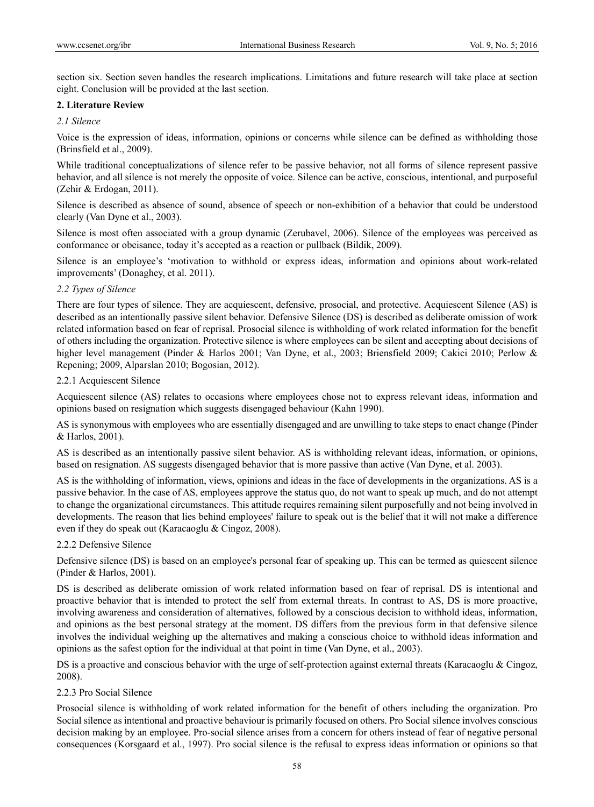section six. Section seven handles the research implications. Limitations and future research will take place at section eight. Conclusion will be provided at the last section.

# **2. Literature Review**

## *2.1 Silence*

Voice is the expression of ideas, information, opinions or concerns while silence can be defined as withholding those (Brinsfield et al., 2009).

While traditional conceptualizations of silence refer to be passive behavior, not all forms of silence represent passive behavior, and all silence is not merely the opposite of voice. Silence can be active, conscious, intentional, and purposeful (Zehir & Erdogan, 2011).

Silence is described as absence of sound, absence of speech or non-exhibition of a behavior that could be understood clearly (Van Dyne et al., 2003).

Silence is most often associated with a group dynamic (Zerubavel, 2006). Silence of the employees was perceived as conformance or obeisance, today it's accepted as a reaction or pullback (Bildik, 2009).

Silence is an employee's 'motivation to withhold or express ideas, information and opinions about work-related improvements' (Donaghey, et al. 2011).

# *2.2 Types of Silence*

There are four types of silence. They are acquiescent, defensive, prosocial, and protective. Acquiescent Silence (AS) is described as an intentionally passive silent behavior. Defensive Silence (DS) is described as deliberate omission of work related information based on fear of reprisal. Prosocial silence is withholding of work related information for the benefit of others including the organization. Protective silence is where employees can be silent and accepting about decisions of higher level management (Pinder & Harlos 2001; Van Dyne, et al., 2003; Briensfield 2009; Cakici 2010; Perlow & Repening; 2009, Alparslan 2010; Bogosian, 2012).

## 2.2.1 Acquiescent Silence

Acquiescent silence (AS) relates to occasions where employees chose not to express relevant ideas, information and opinions based on resignation which suggests disengaged behaviour (Kahn 1990).

AS is synonymous with employees who are essentially disengaged and are unwilling to take steps to enact change (Pinder & Harlos, 2001).

AS is described as an intentionally passive silent behavior. AS is withholding relevant ideas, information, or opinions, based on resignation. AS suggests disengaged behavior that is more passive than active (Van Dyne, et al. 2003).

AS is the withholding of information, views, opinions and ideas in the face of developments in the organizations. AS is a passive behavior. In the case of AS, employees approve the status quo, do not want to speak up much, and do not attempt to change the organizational circumstances. This attitude requires remaining silent purposefully and not being involved in developments. The reason that lies behind employees' failure to speak out is the belief that it will not make a difference even if they do speak out (Karacaoglu & Cingoz, 2008).

## 2.2.2 Defensive Silence

Defensive silence (DS) is based on an employee's personal fear of speaking up. This can be termed as quiescent silence (Pinder & Harlos, 2001).

DS is described as deliberate omission of work related information based on fear of reprisal. DS is intentional and proactive behavior that is intended to protect the self from external threats. In contrast to AS, DS is more proactive, involving awareness and consideration of alternatives, followed by a conscious decision to withhold ideas, information, and opinions as the best personal strategy at the moment. DS differs from the previous form in that defensive silence involves the individual weighing up the alternatives and making a conscious choice to withhold ideas information and opinions as the safest option for the individual at that point in time (Van Dyne, et al., 2003).

DS is a proactive and conscious behavior with the urge of self-protection against external threats (Karacaoglu & Cingoz, 2008).

## 2.2.3 Pro Social Silence

Prosocial silence is withholding of work related information for the benefit of others including the organization. Pro Social silence as intentional and proactive behaviour is primarily focused on others. Pro Social silence involves conscious decision making by an employee. Pro-social silence arises from a concern for others instead of fear of negative personal consequences (Korsgaard et al., 1997). Pro social silence is the refusal to express ideas information or opinions so that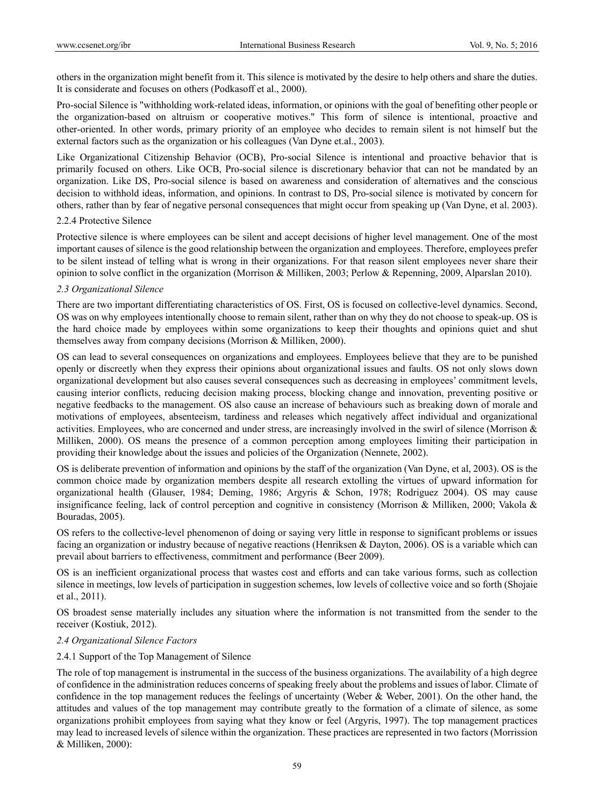others in the organization might benefit from it. This silence is motivated by the desire to help others and share the duties. It is considerate and focuses on others (Podkasoff et al., 2000).

Pro-social Silence is "withholding work-related ideas, information, or opinions with the goal of benefiting other people or the organization-based on altruism or cooperative motives." This form of silence is intentional, proactive and other-oriented. In other words, primary priority of an employee who decides to remain silent is not himself but the external factors such as the organization or his colleagues (Van Dyne et.al., 2003).

Like Organizational Citizenship Behavior (OCB), Pro-social Silence is intentional and proactive behavior that is primarily focused on others. Like OCB, Pro-social silence is discretionary behavior that can not be mandated by an organization. Like DS, Pro-social silence is based on awareness and consideration of alternatives and the conscious decision to withhold ideas, information, and opinions. In contrast to DS, Pro-social silence is motivated by concern for others, rather than by fear of negative personal consequences that might occur from speaking up (Van Dyne, et al. 2003).

## 2.2.4 Protective Silence

Protective silence is where employees can be silent and accept decisions of higher level management. One of the most important causes of silence is the good relationship between the organization and employees. Therefore, employees prefer to be silent instead of telling what is wrong in their organizations. For that reason silent employees never share their opinion to solve conflict in the organization (Morrison & Milliken, 2003; Perlow & Repenning, 2009, Alparslan 2010).

# *2.3 Organizational Silence*

There are two important differentiating characteristics of OS. First, OS is focused on collective-level dynamics. Second, OS was on why employees intentionally choose to remain silent, rather than on why they do not choose to speak-up. OS is the hard choice made by employees within some organizations to keep their thoughts and opinions quiet and shut themselves away from company decisions (Morrison & Milliken, 2000).

OS can lead to several consequences on organizations and employees. Employees believe that they are to be punished openly or discreetly when they express their opinions about organizational issues and faults. OS not only slows down organizational development but also causes several consequences such as decreasing in employees' commitment levels, causing interior conflicts, reducing decision making process, blocking change and innovation, preventing positive or negative feedbacks to the management. OS also cause an increase of behaviours such as breaking down of morale and motivations of employees, absenteeism, tardiness and releases which negatively affect individual and organizational activities. Employees, who are concerned and under stress, are increasingly involved in the swirl of silence (Morrison  $\&$ Milliken, 2000). OS means the presence of a common perception among employees limiting their participation in providing their knowledge about the issues and policies of the Organization (Nennete, 2002).

OS is deliberate prevention of information and opinions by the staff of the organization (Van Dyne, et al, 2003). OS is the common choice made by organization members despite all research extolling the virtues of upward information for organizational health (Glauser, 1984; Deming, 1986; Argyris & Schon, 1978; Rodriguez 2004). OS may cause insignificance feeling, lack of control perception and cognitive in consistency (Morrison & Milliken, 2000; Vakola & Bouradas, 2005).

OS refers to the collective-level phenomenon of doing or saying very little in response to significant problems or issues facing an organization or industry because of negative reactions (Henriksen & Dayton, 2006). OS is a variable which can prevail about barriers to effectiveness, commitment and performance (Beer 2009).

OS is an inefficient organizational process that wastes cost and efforts and can take various forms, such as collection silence in meetings, low levels of participation in suggestion schemes, low levels of collective voice and so forth (Shojaie et al., 2011).

OS broadest sense materially includes any situation where the information is not transmitted from the sender to the receiver (Kostiuk, 2012).

## *2.4 Organizational Silence Factors*

## 2.4.1 Support of the Top Management of Silence

The role of top management is instrumental in the success of the business organizations. The availability of a high degree of confidence in the administration reduces concerns of speaking freely about the problems and issues of labor. Climate of confidence in the top management reduces the feelings of uncertainty (Weber & Weber, 2001). On the other hand, the attitudes and values of the top management may contribute greatly to the formation of a climate of silence, as some organizations prohibit employees from saying what they know or feel (Argyris, 1997). The top management practices may lead to increased levels of silence within the organization. These practices are represented in two factors (Morrission & Milliken, 2000):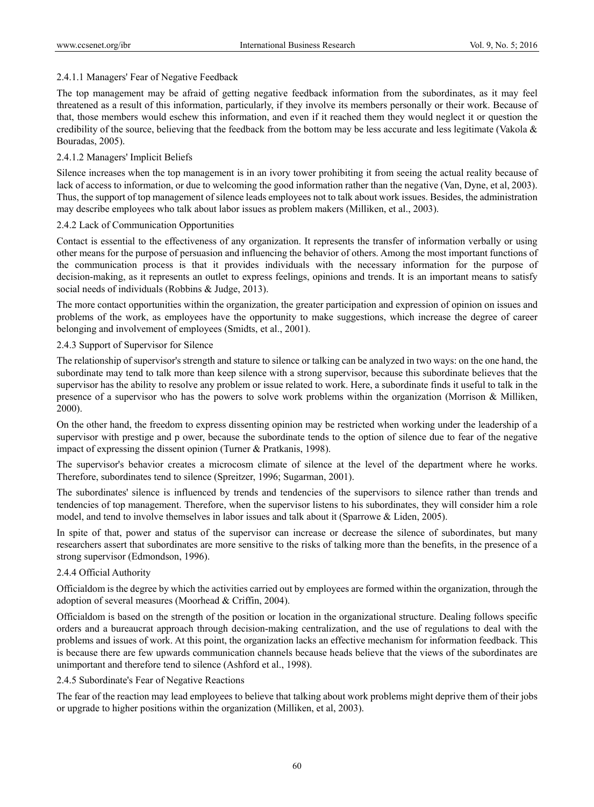# 2.4.1.1 Managers' Fear of Negative Feedback

The top management may be afraid of getting negative feedback information from the subordinates, as it may feel threatened as a result of this information, particularly, if they involve its members personally or their work. Because of that, those members would eschew this information, and even if it reached them they would neglect it or question the credibility of the source, believing that the feedback from the bottom may be less accurate and less legitimate (Vakola  $\&$ Bouradas, 2005).

# 2.4.1.2 Managers' Implicit Beliefs

Silence increases when the top management is in an ivory tower prohibiting it from seeing the actual reality because of lack of access to information, or due to welcoming the good information rather than the negative (Van, Dyne, et al, 2003). Thus, the support of top management of silence leads employees not to talk about work issues. Besides, the administration may describe employees who talk about labor issues as problem makers (Milliken, et al., 2003).

## 2.4.2 Lack of Communication Opportunities

Contact is essential to the effectiveness of any organization. It represents the transfer of information verbally or using other means for the purpose of persuasion and influencing the behavior of others. Among the most important functions of the communication process is that it provides individuals with the necessary information for the purpose of decision-making, as it represents an outlet to express feelings, opinions and trends. It is an important means to satisfy social needs of individuals (Robbins & Judge, 2013).

The more contact opportunities within the organization, the greater participation and expression of opinion on issues and problems of the work, as employees have the opportunity to make suggestions, which increase the degree of career belonging and involvement of employees (Smidts, et al., 2001).

## 2.4.3 Support of Supervisor for Silence

The relationship of supervisor's strength and stature to silence or talking can be analyzed in two ways: on the one hand, the subordinate may tend to talk more than keep silence with a strong supervisor, because this subordinate believes that the supervisor has the ability to resolve any problem or issue related to work. Here, a subordinate finds it useful to talk in the presence of a supervisor who has the powers to solve work problems within the organization (Morrison & Milliken, 2000).

On the other hand, the freedom to express dissenting opinion may be restricted when working under the leadership of a supervisor with prestige and p ower, because the subordinate tends to the option of silence due to fear of the negative impact of expressing the dissent opinion (Turner & Pratkanis, 1998).

The supervisor's behavior creates a microcosm climate of silence at the level of the department where he works. Therefore, subordinates tend to silence (Spreitzer, 1996; Sugarman, 2001).

The subordinates' silence is influenced by trends and tendencies of the supervisors to silence rather than trends and tendencies of top management. Therefore, when the supervisor listens to his subordinates, they will consider him a role model, and tend to involve themselves in labor issues and talk about it (Sparrowe & Liden, 2005).

In spite of that, power and status of the supervisor can increase or decrease the silence of subordinates, but many researchers assert that subordinates are more sensitive to the risks of talking more than the benefits, in the presence of a strong supervisor (Edmondson, 1996).

## 2.4.4 Official Authority

Officialdom is the degree by which the activities carried out by employees are formed within the organization, through the adoption of several measures (Moorhead & Criffin, 2004).

Officialdom is based on the strength of the position or location in the organizational structure. Dealing follows specific orders and a bureaucrat approach through decision-making centralization, and the use of regulations to deal with the problems and issues of work. At this point, the organization lacks an effective mechanism for information feedback. This is because there are few upwards communication channels because heads believe that the views of the subordinates are unimportant and therefore tend to silence (Ashford et al., 1998).

## 2.4.5 Subordinate's Fear of Negative Reactions

The fear of the reaction may lead employees to believe that talking about work problems might deprive them of their jobs or upgrade to higher positions within the organization (Milliken, et al, 2003).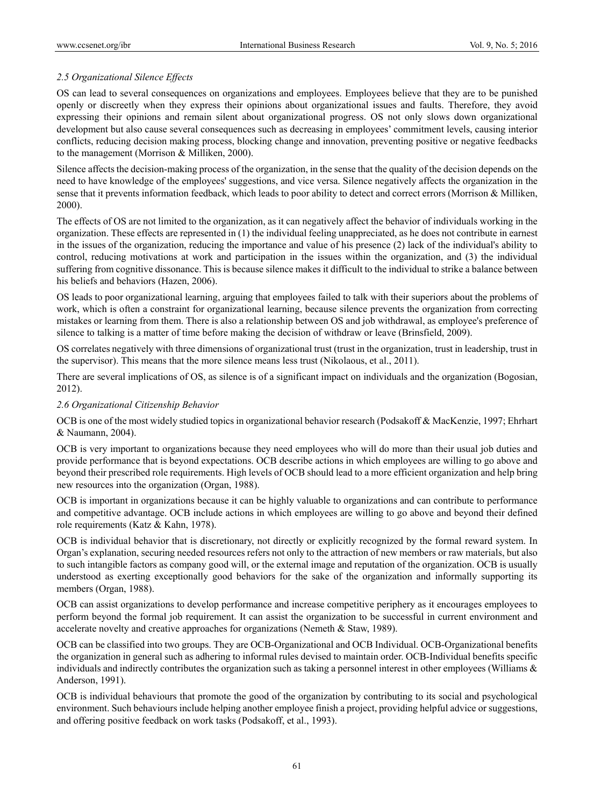# *2.5 Organizational Silence Effects*

OS can lead to several consequences on organizations and employees. Employees believe that they are to be punished openly or discreetly when they express their opinions about organizational issues and faults. Therefore, they avoid expressing their opinions and remain silent about organizational progress. OS not only slows down organizational development but also cause several consequences such as decreasing in employees' commitment levels, causing interior conflicts, reducing decision making process, blocking change and innovation, preventing positive or negative feedbacks to the management (Morrison & Milliken, 2000).

Silence affects the decision-making process of the organization, in the sense that the quality of the decision depends on the need to have knowledge of the employees' suggestions, and vice versa. Silence negatively affects the organization in the sense that it prevents information feedback, which leads to poor ability to detect and correct errors (Morrison & Milliken, 2000).

The effects of OS are not limited to the organization, as it can negatively affect the behavior of individuals working in the organization. These effects are represented in (1) the individual feeling unappreciated, as he does not contribute in earnest in the issues of the organization, reducing the importance and value of his presence (2) lack of the individual's ability to control, reducing motivations at work and participation in the issues within the organization, and (3) the individual suffering from cognitive dissonance. This is because silence makes it difficult to the individual to strike a balance between his beliefs and behaviors (Hazen, 2006).

OS leads to poor organizational learning, arguing that employees failed to talk with their superiors about the problems of work, which is often a constraint for organizational learning, because silence prevents the organization from correcting mistakes or learning from them. There is also a relationship between OS and job withdrawal, as employee's preference of silence to talking is a matter of time before making the decision of withdraw or leave (Brinsfield, 2009).

OS correlates negatively with three dimensions of organizational trust (trust in the organization, trust in leadership, trust in the supervisor). This means that the more silence means less trust (Nikolaous, et al., 2011).

There are several implications of OS, as silence is of a significant impact on individuals and the organization (Bogosian, 2012).

## *2.6 Organizational Citizenship Behavior*

OCB is one of the most widely studied topics in organizational behavior research (Podsakoff & MacKenzie, 1997; Ehrhart & Naumann, 2004).

OCB is very important to organizations because they need employees who will do more than their usual job duties and provide performance that is beyond expectations. OCB describe actions in which employees are willing to go above and beyond their prescribed role requirements. High levels of OCB should lead to a more efficient organization and help bring new resources into the organization (Organ, 1988).

OCB is important in organizations because it can be highly valuable to organizations and can contribute to performance and competitive advantage. OCB include actions in which employees are willing to go above and beyond their defined role requirements (Katz & Kahn, 1978).

OCB is individual behavior that is discretionary, not directly or explicitly recognized by the formal reward system. In Organ's explanation, securing needed resources refers not only to the attraction of new members or raw materials, but also to such intangible factors as company good will, or the external image and reputation of the organization. OCB is usually understood as exerting exceptionally good behaviors for the sake of the organization and informally supporting its members (Organ, 1988).

OCB can assist organizations to develop performance and increase competitive periphery as it encourages employees to perform beyond the formal job requirement. It can assist the organization to be successful in current environment and accelerate novelty and creative approaches for organizations (Nemeth & Staw, 1989).

OCB can be classified into two groups. They are OCB-Organizational and OCB Individual. OCB-Organizational benefits the organization in general such as adhering to informal rules devised to maintain order. OCB-Individual benefits specific individuals and indirectly contributes the organization such as taking a personnel interest in other employees (Williams & Anderson, 1991).

OCB is individual behaviours that promote the good of the organization by contributing to its social and psychological environment. Such behaviours include helping another employee finish a project, providing helpful advice or suggestions, and offering positive feedback on work tasks (Podsakoff, et al., 1993).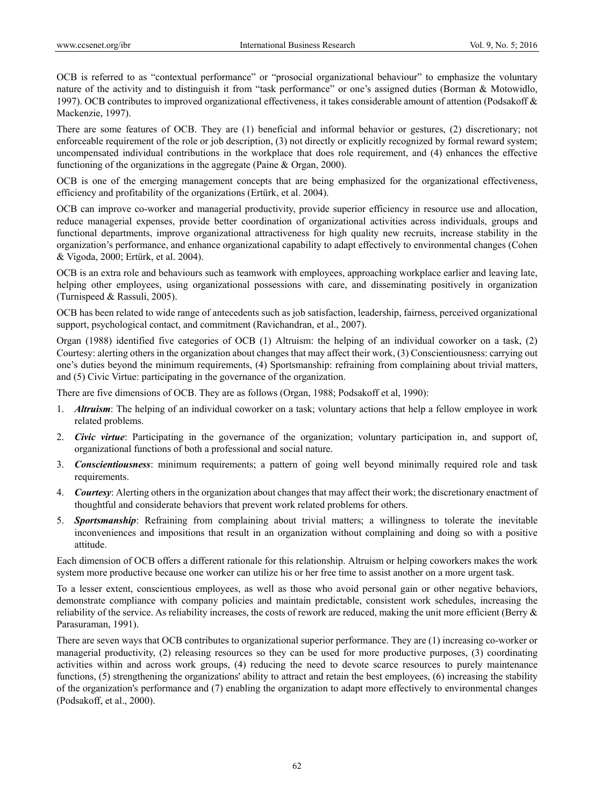OCB is referred to as "contextual performance" or "prosocial organizational behaviour" to emphasize the voluntary nature of the activity and to distinguish it from "task performance" or one's assigned duties (Borman & Motowidlo, 1997). OCB contributes to improved organizational effectiveness, it takes considerable amount of attention (Podsakoff  $\&$ Mackenzie, 1997).

There are some features of OCB. They are (1) beneficial and informal behavior or gestures, (2) discretionary; not enforceable requirement of the role or job description, (3) not directly or explicitly recognized by formal reward system; uncompensated individual contributions in the workplace that does role requirement, and (4) enhances the effective functioning of the organizations in the aggregate (Paine & Organ, 2000).

OCB is one of the emerging management concepts that are being emphasized for the organizational effectiveness, efficiency and profitability of the organizations (Ertürk, et al. 2004).

OCB can improve co-worker and managerial productivity, provide superior efficiency in resource use and allocation, reduce managerial expenses, provide better coordination of organizational activities across individuals, groups and functional departments, improve organizational attractiveness for high quality new recruits, increase stability in the organization's performance, and enhance organizational capability to adapt effectively to environmental changes (Cohen & Vigoda, 2000; Ertürk, et al. 2004).

OCB is an extra role and behaviours such as teamwork with employees, approaching workplace earlier and leaving late, helping other employees, using organizational possessions with care, and disseminating positively in organization (Turnispeed & Rassuli, 2005).

OCB has been related to wide range of antecedents such as job satisfaction, leadership, fairness, perceived organizational support, psychological contact, and commitment (Ravichandran, et al., 2007).

Organ (1988) identified five categories of OCB (1) Altruism: the helping of an individual coworker on a task, (2) Courtesy: alerting others in the organization about changes that may affect their work, (3) Conscientiousness: carrying out one's duties beyond the minimum requirements, (4) Sportsmanship: refraining from complaining about trivial matters, and (5) Civic Virtue: participating in the governance of the organization.

There are five dimensions of OCB. They are as follows (Organ, 1988; Podsakoff et al, 1990):

- 1. *Altruism*: The helping of an individual coworker on a task; voluntary actions that help a fellow employee in work related problems.
- 2. *Civic virtue*: Participating in the governance of the organization; voluntary participation in, and support of, organizational functions of both a professional and social nature.
- 3. *Conscientiousness*: minimum requirements; a pattern of going well beyond minimally required role and task requirements.
- 4. *Courtesy*: Alerting others in the organization about changes that may affect their work; the discretionary enactment of thoughtful and considerate behaviors that prevent work related problems for others.
- 5. *Sportsmanship*: Refraining from complaining about trivial matters; a willingness to tolerate the inevitable inconveniences and impositions that result in an organization without complaining and doing so with a positive attitude.

Each dimension of OCB offers a different rationale for this relationship. Altruism or helping coworkers makes the work system more productive because one worker can utilize his or her free time to assist another on a more urgent task.

To a lesser extent, conscientious employees, as well as those who avoid personal gain or other negative behaviors, demonstrate compliance with company policies and maintain predictable, consistent work schedules, increasing the reliability of the service. As reliability increases, the costs of rework are reduced, making the unit more efficient (Berry & Parasuraman, 1991).

There are seven ways that OCB contributes to organizational superior performance. They are (1) increasing co-worker or managerial productivity, (2) releasing resources so they can be used for more productive purposes, (3) coordinating activities within and across work groups, (4) reducing the need to devote scarce resources to purely maintenance functions, (5) strengthening the organizations' ability to attract and retain the best employees, (6) increasing the stability of the organization's performance and (7) enabling the organization to adapt more effectively to environmental changes (Podsakoff, et al., 2000).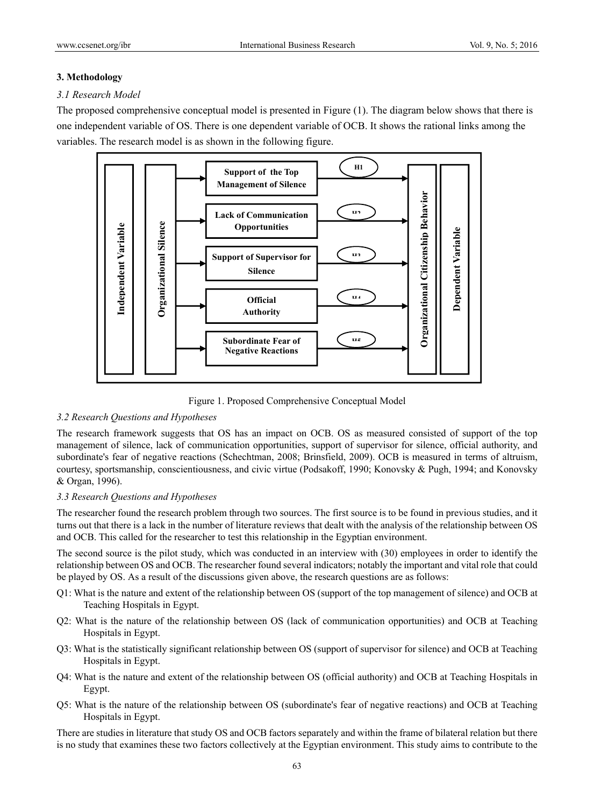#### **3. Methodology**

## *3.1 Research Model*

The proposed comprehensive conceptual model is presented in Figure (1). The diagram below shows that there is one independent variable of OS. There is one dependent variable of OCB. It shows the rational links among the variables. The research model is as shown in the following figure.



Figure 1. Proposed Comprehensive Conceptual Model

## *3.2 Research Questions and Hypotheses*

The research framework suggests that OS has an impact on OCB. OS as measured consisted of support of the top management of silence, lack of communication opportunities, support of supervisor for silence, official authority, and subordinate's fear of negative reactions (Schechtman, 2008; Brinsfield, 2009). OCB is measured in terms of altruism, courtesy, sportsmanship, conscientiousness, and civic virtue (Podsakoff, 1990; Konovsky & Pugh, 1994; and Konovsky & Organ, 1996).

#### *3.3 Research Questions and Hypotheses*

The researcher found the research problem through two sources. The first source is to be found in previous studies, and it turns out that there is a lack in the number of literature reviews that dealt with the analysis of the relationship between OS and OCB. This called for the researcher to test this relationship in the Egyptian environment.

The second source is the pilot study, which was conducted in an interview with (30) employees in order to identify the relationship between OS and OCB. The researcher found several indicators; notably the important and vital role that could be played by OS. As a result of the discussions given above, the research questions are as follows:

- Q1: What is the nature and extent of the relationship between OS (support of the top management of silence) and OCB at Teaching Hospitals in Egypt.
- Q2: What is the nature of the relationship between OS (lack of communication opportunities) and OCB at Teaching Hospitals in Egypt.
- Q3: What is the statistically significant relationship between OS (support of supervisor for silence) and OCB at Teaching Hospitals in Egypt.
- Q4: What is the nature and extent of the relationship between OS (official authority) and OCB at Teaching Hospitals in Egypt.
- Q5: What is the nature of the relationship between OS (subordinate's fear of negative reactions) and OCB at Teaching Hospitals in Egypt.

There are studies in literature that study OS and OCB factors separately and within the frame of bilateral relation but there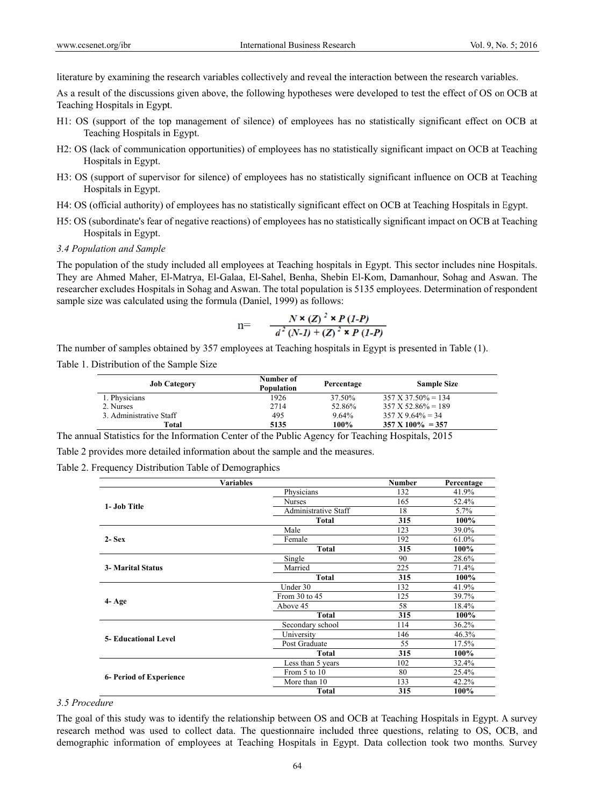literature by examining the research variables collectively and reveal the interaction between the research variables.

As a result of the discussions given above, the following hypotheses were developed to test the effect of OS on OCB at Teaching Hospitals in Egypt.

- H1: OS (support of the top management of silence) of employees has no statistically significant effect on OCB at Teaching Hospitals in Egypt.
- H2: OS (lack of communication opportunities) of employees has no statistically significant impact on OCB at Teaching Hospitals in Egypt.
- H3: OS (support of supervisor for silence) of employees has no statistically significant influence on OCB at Teaching Hospitals in Egypt.
- H4: OS (official authority) of employees has no statistically significant effect on OCB at Teaching Hospitals in Egypt.
- H5: OS (subordinate's fear of negative reactions) of employees has no statistically significant impact on OCB at Teaching Hospitals in Egypt.

#### *3.4 Population n and Sample*

The population of the study included all employees at Teaching hospitals in Egypt. This sector includes nine Hospitals. They are Ahmed Maher, El-Matrya, El-Galaa, El-Sahel, Benha, Shebin El-Kom, Damanhour, Sohag and Aswan. The researcher excludes Hospitals in Sohag and Aswan. The total population is 5135 employees. Determination of respondent sample size was calculated using the formula (Daniel, 1999) as follows:

$$
n = \frac{N \times (Z)^2 \times P (I-P)}{d^2 (N-I) + (Z)^2 \times P (I-P)}
$$

The number of samples obtained by 357 employees at Teaching hospitals in Egypt is presented in Table (1).

Table 1. Distribution of the Sample Size

| <b>Job Category</b>                                                                         | Number of<br><b>Population</b> | Percentage | <b>Sample Size</b>             |
|---------------------------------------------------------------------------------------------|--------------------------------|------------|--------------------------------|
| 1. Physicians                                                                               | 1926                           | 37.50%     | $357 \text{ X } 37.50\% = 134$ |
| 2. Nurses                                                                                   | 2714                           | 52.86%     | $357 \text{ X } 52.86\% = 189$ |
| 3. Administrative Staff                                                                     | 495                            | 9.64%      | $357 \text{ X } 9.64\% = 34$   |
| Total                                                                                       | 5135                           | 100%       | $357 \times 100\% = 357$       |
| ial Statistics for the Information Center of the Public Agency for Teaching Hospitals, 2015 |                                |            |                                |

The annual Statistics for the Information Center of the Public Agency for Teaching Hospitals, 201

Table 2 provides more detailed information about the sample and the measures.

Table 2. Frequency Distribution Table of Demographics

|                             | <b>Variables</b>     | <b>Number</b> | Percentage |
|-----------------------------|----------------------|---------------|------------|
|                             | Physicians           | 132           | 41.9%      |
| 1- Job Title                | <b>Nurses</b>        | 165           | 52.4%      |
|                             | Administrative Staff | 18            | 5.7%       |
|                             | Total                | 315           | 100%       |
|                             | Male                 | 123           | 39.0%      |
| $2 - Sex$                   | Female               | 192           | 61.0%      |
|                             | <b>Total</b>         | 315           | 100%       |
|                             | Single               | 90            | 28.6%      |
| <b>3- Marital Status</b>    | Married              | 225           | 71.4%      |
|                             | <b>Total</b>         | 315           | 100%       |
|                             | Under 30             | 132           | 41.9%      |
|                             | From 30 to 45        | 125           | 39.7%      |
| $4 - Age$                   | Above 45             | 58            | 18.4%      |
|                             | <b>Total</b>         | 315           | 100%       |
|                             | Secondary school     | 114           | 36.2%      |
|                             | University           | 146           | 46.3%      |
| <b>5- Educational Level</b> | Post Graduate        | 55            | 17.5%      |
|                             | Total                | 315           | 100%       |
|                             | Less than 5 years    | 102           | 32.4%      |
|                             | From 5 to 10         | 80            | 25.4%      |
| 6- Period of Experience     | More than 10         | 133           | 42.2%      |
|                             | Total                | 315           | 100%       |

#### *3.5 Procedure e*

The goal of this study was to identify the relationship between OS and OCB at Teaching Hospitals in Egypt. A survey research method was used to collect data. The questionnaire included three questions, relating to OS, OCB, and demographic information of employees at Teaching Hospitals in Egypt. Data collection took two months. Survey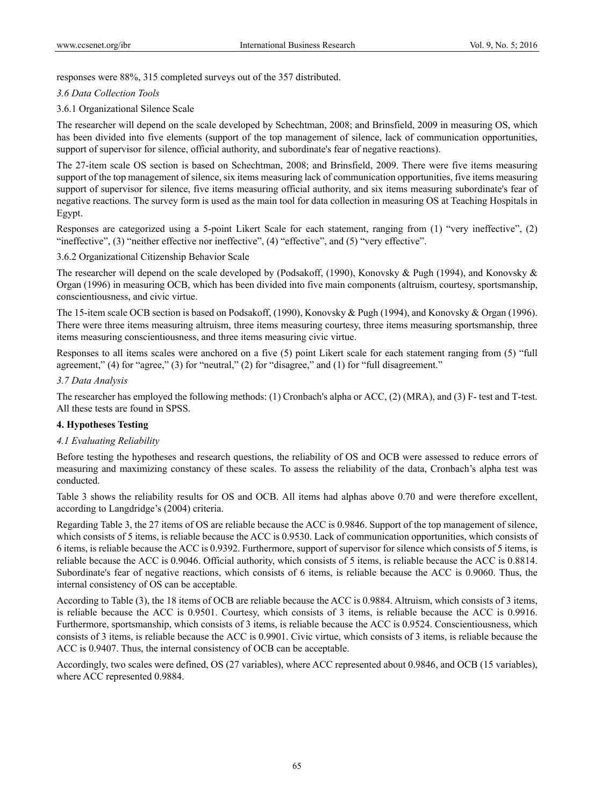responses were 88%, 315 completed surveys out of the 357 distributed.

- *3.6 Data Collection Tools*
- 3.6.1 Organizational Silence Scale

The researcher will depend on the scale developed by Schechtman, 2008; and Brinsfield, 2009 in measuring OS, which has been divided into five elements (support of the top management of silence, lack of communication opportunities, support of supervisor for silence, official authority, and subordinate's fear of negative reactions).

The 27-item scale OS section is based on Schechtman, 2008; and Brinsfield, 2009. There were five items measuring support of the top management of silence, six items measuring lack of communication opportunities, five items measuring support of supervisor for silence, five items measuring official authority, and six items measuring subordinate's fear of negative reactions. The survey form is used as the main tool for data collection in measuring OS at Teaching Hospitals in Egypt.

Responses are categorized using a 5-point Likert Scale for each statement, ranging from (1) "very ineffective", (2) "ineffective", (3) "neither effective nor ineffective", (4) "effective", and (5) "very effective".

3.6.2 Organizational Citizenship Behavior Scale

The researcher will depend on the scale developed by (Podsakoff, (1990), Konovsky & Pugh (1994), and Konovsky & Organ (1996) in measuring OCB, which has been divided into five main components (altruism, courtesy, sportsmanship, conscientiousness, and civic virtue.

The 15-item scale OCB section is based on Podsakoff, (1990), Konovsky & Pugh (1994), and Konovsky & Organ (1996). There were three items measuring altruism, three items measuring courtesy, three items measuring sportsmanship, three items measuring conscientiousness, and three items measuring civic virtue.

Responses to all items scales were anchored on a five (5) point Likert scale for each statement ranging from (5) "full agreement," (4) for "agree," (3) for "neutral," (2) for "disagree," and (1) for "full disagreement."

#### *3.7 Data Analysis*

The researcher has employed the following methods: (1) Cronbach's alpha or ACC, (2) (MRA), and (3) F- test and T-test. All these tests are found in SPSS.

## **4. Hypotheses Testing**

## *4.1 Evaluating Reliability*

Before testing the hypotheses and research questions, the reliability of OS and OCB were assessed to reduce errors of measuring and maximizing constancy of these scales. To assess the reliability of the data, Cronbach's alpha test was conducted.

Table 3 shows the reliability results for OS and OCB. All items had alphas above 0.70 and were therefore excellent, according to Langdridge's (2004) criteria.

Regarding Table 3, the 27 items of OS are reliable because the ACC is 0.9846. Support of the top management of silence, which consists of 5 items, is reliable because the ACC is 0.9530. Lack of communication opportunities, which consists of 6 items, is reliable because the ACC is 0.9392. Furthermore, support of supervisor for silence which consists of 5 items, is reliable because the ACC is 0.9046. Official authority, which consists of 5 items, is reliable because the ACC is 0.8814. Subordinate's fear of negative reactions, which consists of 6 items, is reliable because the ACC is 0.9060. Thus, the internal consistency of OS can be acceptable.

According to Table (3), the 18 items of OCB are reliable because the ACC is 0.9884. Altruism, which consists of 3 items, is reliable because the ACC is 0.9501. Courtesy, which consists of 3 items, is reliable because the ACC is 0.9916. Furthermore, sportsmanship, which consists of 3 items, is reliable because the ACC is 0.9524. Conscientiousness, which consists of 3 items, is reliable because the ACC is 0.9901. Civic virtue, which consists of 3 items, is reliable because the ACC is 0.9407. Thus, the internal consistency of OCB can be acceptable.

Accordingly, two scales were defined, OS (27 variables), where ACC represented about 0.9846, and OCB (15 variables), where ACC represented 0.9884.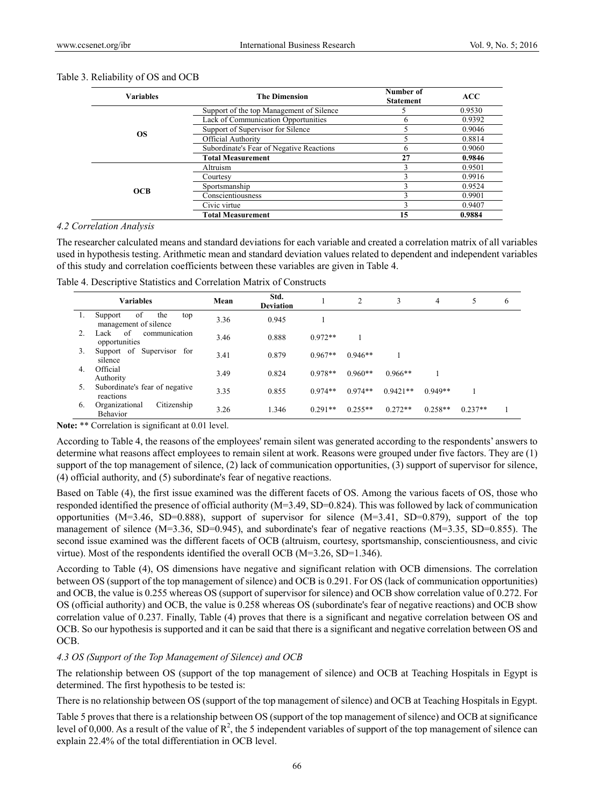| <b>Variables</b> | <b>The Dimension</b>                       | Number of<br><b>Statement</b> | ACC    |
|------------------|--------------------------------------------|-------------------------------|--------|
|                  | Support of the top Management of Silence   |                               | 0.9530 |
|                  | <b>Lack of Communication Opportunities</b> | n                             | 0.9392 |
| <b>OS</b>        | Support of Supervisor for Silence          |                               | 0.9046 |
|                  | <b>Official Authority</b>                  |                               | 0.8814 |
|                  | Subordinate's Fear of Negative Reactions   |                               | 0.9060 |
|                  | <b>Total Measurement</b>                   | 27                            | 0.9846 |
|                  | Altruism                                   |                               | 0.9501 |
|                  | Courtesy                                   |                               | 0.9916 |
| OCB              | Sportsmanship                              |                               | 0.9524 |
|                  | Conscientiousness                          |                               | 0.9901 |
|                  | Civic virtue                               |                               | 0.9407 |
|                  | <b>Total Measurement</b>                   | 15                            | 0.9884 |

#### Table 3. Reliability of OS and OCB

#### *4.2 Correlation Analysis*

The researcher calculated means and standard deviations for each variable and created a correlation matrix of all variables used in hypothesis testing. Arithmetic mean and standard deviation values related to dependent and independent variables of this study and correlation coefficients between these variables are given in Table 4.

Table 4. Descriptive Statistics and Correlation Matrix of Constructs

|    | <b>Variables</b>                                     | Mean | Std.<br><b>Deviation</b> |           | 2         | 3          | 4         | 5         | 6 |
|----|------------------------------------------------------|------|--------------------------|-----------|-----------|------------|-----------|-----------|---|
|    | of<br>the<br>Support<br>top<br>management of silence | 3.36 | 0.945                    |           |           |            |           |           |   |
| 2. | of<br>Lack<br>communication<br>opportunities         | 3.46 | 0.888                    | $0.972**$ |           |            |           |           |   |
| 3. | Support of Supervisor for<br>silence                 | 3.41 | 0.879                    | $0.967**$ | $0.946**$ |            |           |           |   |
| 4. | Official<br>Authority                                | 3.49 | 0.824                    | $0.978**$ | $0.960**$ | $0.966**$  |           |           |   |
| 5. | Subordinate's fear of negative<br>reactions          | 3.35 | 0.855                    | $0.974**$ | $0.974**$ | $0.9421**$ | $0.949**$ |           |   |
| 6. | Citizenship<br>Organizational<br>Behavior            | 3.26 | 1.346                    | $0.291**$ | $0.255**$ | $0.272**$  | $0.258**$ | $0.237**$ |   |

**Note:** \*\* Correlation is significant at 0.01 level.

According to Table 4, the reasons of the employees' remain silent was generated according to the respondents' answers to determine what reasons affect employees to remain silent at work. Reasons were grouped under five factors. They are (1) support of the top management of silence, (2) lack of communication opportunities, (3) support of supervisor for silence, (4) official authority, and (5) subordinate's fear of negative reactions.

Based on Table (4), the first issue examined was the different facets of OS. Among the various facets of OS, those who responded identified the presence of official authority (M=3.49, SD=0.824). This was followed by lack of communication opportunities  $(M=3.46, SD=0.888)$ , support of supervisor for silence  $(M=3.41, SD=0.879)$ , support of the top management of silence (M=3.36, SD=0.945), and subordinate's fear of negative reactions (M=3.35, SD=0.855). The second issue examined was the different facets of OCB (altruism, courtesy, sportsmanship, conscientiousness, and civic virtue). Most of the respondents identified the overall OCB (M=3.26, SD=1.346).

According to Table (4), OS dimensions have negative and significant relation with OCB dimensions. The correlation between OS (support of the top management of silence) and OCB is 0.291. For OS (lack of communication opportunities) and OCB, the value is 0.255 whereas OS (support of supervisor for silence) and OCB show correlation value of 0.272. For OS (official authority) and OCB, the value is 0.258 whereas OS (subordinate's fear of negative reactions) and OCB show correlation value of 0.237. Finally, Table (4) proves that there is a significant and negative correlation between OS and OCB. So our hypothesis is supported and it can be said that there is a significant and negative correlation between OS and OCB.

## *4.3 OS (Support of the Top Management of Silence) and OCB*

The relationship between OS (support of the top management of silence) and OCB at Teaching Hospitals in Egypt is determined. The first hypothesis to be tested is:

There is no relationship between OS (support of the top management of silence) and OCB at Teaching Hospitals in Egypt.

Table 5 proves that there is a relationship between OS (support of the top management of silence) and OCB at significance level of 0,000. As a result of the value of  $\mathbb{R}^2$ , the 5 independent variables of support of the top management of silence can explain 22.4% of the total differentiation in OCB level.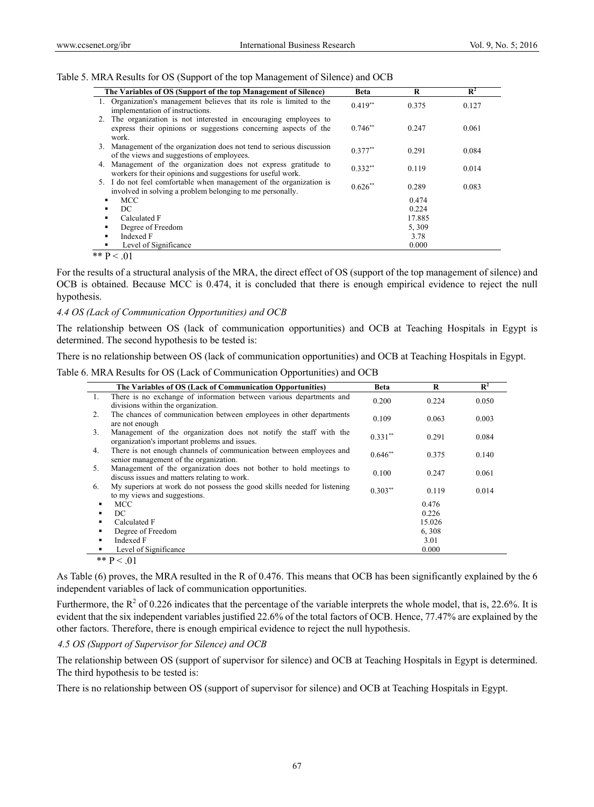|  | Table 5. MRA Results for OS (Support of the top Management of Silence) and OCB |  |  |  |
|--|--------------------------------------------------------------------------------|--|--|--|
|--|--------------------------------------------------------------------------------|--|--|--|

|           |                                                                 | $\mathbf{R}^2$                                  |
|-----------|-----------------------------------------------------------------|-------------------------------------------------|
|           |                                                                 |                                                 |
|           |                                                                 | 0.127                                           |
|           |                                                                 |                                                 |
|           |                                                                 |                                                 |
| $0.746**$ | 0.247                                                           | 0.061                                           |
|           |                                                                 |                                                 |
|           |                                                                 |                                                 |
|           |                                                                 | 0.084                                           |
|           |                                                                 |                                                 |
|           |                                                                 | 0.014                                           |
|           |                                                                 |                                                 |
|           |                                                                 | 0.083                                           |
|           | 0.474                                                           |                                                 |
|           | 0.224                                                           |                                                 |
|           | 17.885                                                          |                                                 |
|           |                                                                 |                                                 |
|           | 3.78                                                            |                                                 |
|           | 0.000                                                           |                                                 |
|           | <b>Beta</b><br>$0.419**$<br>$0.377**$<br>$0.332**$<br>$0.626**$ | R<br>0.375<br>0.291<br>0.119<br>0.289<br>5, 309 |

\*\*  $P < 01$ 

For the results of a structural analysis of the MRA, the direct effect of OS (support of the top management of silence) and OCB is obtained. Because MCC is 0.474, it is concluded that there is enough empirical evidence to reject the null hypothesis.

#### *4.4 OS (Lack of Communication Opportunities) and OCB*

The relationship between OS (lack of communication opportunities) and OCB at Teaching Hospitals in Egypt is determined. The second hypothesis to be tested is:

There is no relationship between OS (lack of communication opportunities) and OCB at Teaching Hospitals in Egypt.

Table 6. MRA Results for OS (Lack of Communication Opportunities) and OCB

|    | The Variables of OS (Lack of Communication Opportunities)                                                          | Beta      | R      | $\overline{\mathbf{R}^2}$ |
|----|--------------------------------------------------------------------------------------------------------------------|-----------|--------|---------------------------|
| 1. | There is no exchange of information between various departments and<br>divisions within the organization.          | 0.200     | 0.224  | 0.050                     |
| 2. | The chances of communication between employees in other departments<br>are not enough                              | 0.109     | 0.063  | 0.003                     |
| 3. | Management of the organization does not notify the staff with the<br>organization's important problems and issues. | $0.331**$ | 0.291  | 0.084                     |
| 4. | There is not enough channels of communication between employees and<br>senior management of the organization.      | $0.646**$ | 0.375  | 0.140                     |
| 5. | Management of the organization does not bother to hold meetings to<br>discuss issues and matters relating to work. | 0.100     | 0.247  | 0.061                     |
| 6. | My superiors at work do not possess the good skills needed for listening<br>to my views and suggestions.           | $0.303**$ | 0.119  | 0.014                     |
| ٠  | MCC                                                                                                                |           | 0.476  |                           |
| ٠  | DC                                                                                                                 |           | 0.226  |                           |
| п  | Calculated F                                                                                                       |           | 15.026 |                           |
| ٠  | Degree of Freedom                                                                                                  |           | 6,308  |                           |
| ٠  | Indexed F                                                                                                          |           | 3.01   |                           |
| ٠  | Level of Significance                                                                                              |           | 0.000  |                           |
|    | ** $P < 01$                                                                                                        |           |        |                           |

As Table (6) proves, the MRA resulted in the R of 0.476. This means that OCB has been significantly explained by the 6 independent variables of lack of communication opportunities.

Furthermore, the  $R^2$  of 0.226 indicates that the percentage of the variable interprets the whole model, that is, 22.6%. It is evident that the six independent variables justified 22.6% of the total factors of OCB. Hence, 77.47% are explained by the other factors. Therefore, there is enough empirical evidence to reject the null hypothesis.

#### *4.5 OS (Support of Supervisor for Silence) and OCB*

The relationship between OS (support of supervisor for silence) and OCB at Teaching Hospitals in Egypt is determined. The third hypothesis to be tested is:

There is no relationship between OS (support of supervisor for silence) and OCB at Teaching Hospitals in Egypt.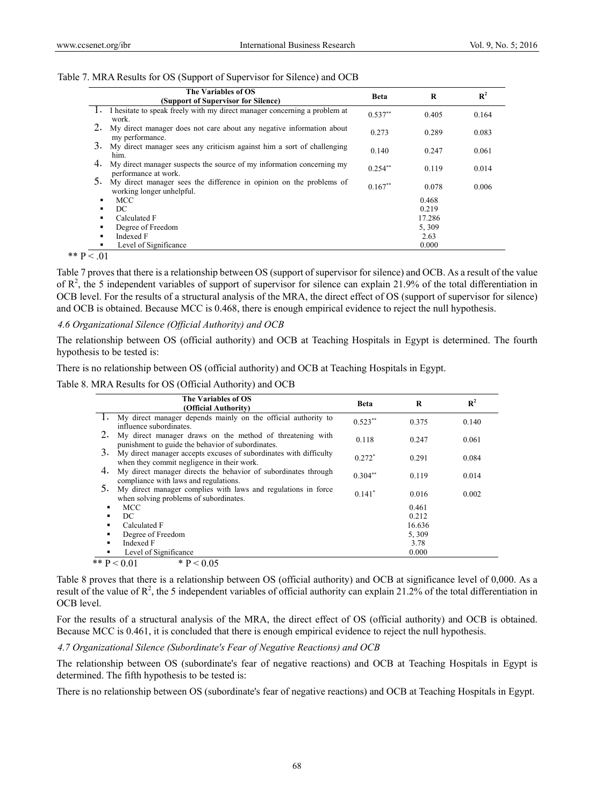| Table 7. MRA Results for OS (Support of Supervisor for Silence) and OCB |
|-------------------------------------------------------------------------|
|-------------------------------------------------------------------------|

|    | The Variables of OS<br>(Support of Supervisor for Silence)                                       | <b>Beta</b> | R      | $\mathbb{R}^2$ |
|----|--------------------------------------------------------------------------------------------------|-------------|--------|----------------|
|    | I hesitate to speak freely with my direct manager concerning a problem at<br>work.               | $0.537**$   | 0.405  | 0.164          |
| 2. | My direct manager does not care about any negative information about<br>my performance.          | 0.273       | 0.289  | 0.083          |
| 3. | My direct manager sees any criticism against him a sort of challenging<br>him.                   | 0.140       | 0.247  | 0.061          |
| 4. | My direct manager suspects the source of my information concerning my<br>performance at work.    | $0.254**$   | 0.119  | 0.014          |
| 5. | My direct manager sees the difference in opinion on the problems of<br>working longer unhelpful. | $0.167**$   | 0.078  | 0.006          |
| ٠  | <b>MCC</b>                                                                                       |             | 0.468  |                |
|    | DC                                                                                               |             | 0.219  |                |
|    | Calculated F                                                                                     |             | 17.286 |                |
|    | Degree of Freedom                                                                                |             | 5,309  |                |
|    | Indexed F                                                                                        |             | 2.63   |                |
|    | Level of Significance                                                                            |             | 0.000  |                |

\*\*  $P \le 01$ 

Table 7 proves that there is a relationship between OS (support of supervisor for silence) and OCB. As a result of the value of  $\mathbb{R}^2$ , the 5 independent variables of support of supervisor for silence can explain 21.9% of the total differentiation in OCB level. For the results of a structural analysis of the MRA, the direct effect of OS (support of supervisor for silence) and OCB is obtained. Because MCC is 0.468, there is enough empirical evidence to reject the null hypothesis.

#### *4.6 Organizational Silence (Official Authority) and OCB*

The relationship between OS (official authority) and OCB at Teaching Hospitals in Egypt is determined. The fourth hypothesis to be tested is:

There is no relationship between OS (official authority) and OCB at Teaching Hospitals in Egypt.

Table 8. MRA Results for OS (Official Authority) and OCB

| The Variables of OS<br>(Official Authority)                                                                           | <b>Beta</b> | R      | $\mathbb{R}^2$ |
|-----------------------------------------------------------------------------------------------------------------------|-------------|--------|----------------|
| My direct manager depends mainly on the official authority to<br>influence subordinates.                              | $0.523**$   | 0.375  | 0.140          |
| 2.<br>My direct manager draws on the method of threatening with<br>punishment to guide the behavior of subordinates.  | 0.118       | 0.247  | 0.061          |
| 3.<br>My direct manager accepts excuses of subordinates with difficulty<br>when they commit negligence in their work. | $0.272*$    | 0.291  | 0.084          |
| 4.<br>My direct manager directs the behavior of subordinates through<br>compliance with laws and regulations.         | $0.304**$   | 0.119  | 0.014          |
| My direct manager complies with laws and regulations in force<br>when solving problems of subordinates.               | $0.141*$    | 0.016  | 0.002          |
| <b>MCC</b><br>٠                                                                                                       |             | 0.461  |                |
| DC<br>٠                                                                                                               |             | 0.212  |                |
| Calculated F<br>п                                                                                                     |             | 16.636 |                |
| Degree of Freedom<br>٠                                                                                                |             | 5, 309 |                |
| Indexed F<br>٠                                                                                                        |             | 3.78   |                |
| Level of Significance                                                                                                 |             | 0.000  |                |

Table 8 proves that there is a relationship between OS (official authority) and OCB at significance level of 0,000. As a result of the value of  $\mathbb{R}^2$ , the 5 independent variables of official authority can explain 21.2% of the total differentiation in OCB level.

For the results of a structural analysis of the MRA, the direct effect of OS (official authority) and OCB is obtained. Because MCC is 0.461, it is concluded that there is enough empirical evidence to reject the null hypothesis.

*4.7 Organizational Silence (Subordinate's Fear of Negative Reactions) and OCB* 

The relationship between OS (subordinate's fear of negative reactions) and OCB at Teaching Hospitals in Egypt is determined. The fifth hypothesis to be tested is:

There is no relationship between OS (subordinate's fear of negative reactions) and OCB at Teaching Hospitals in Egypt.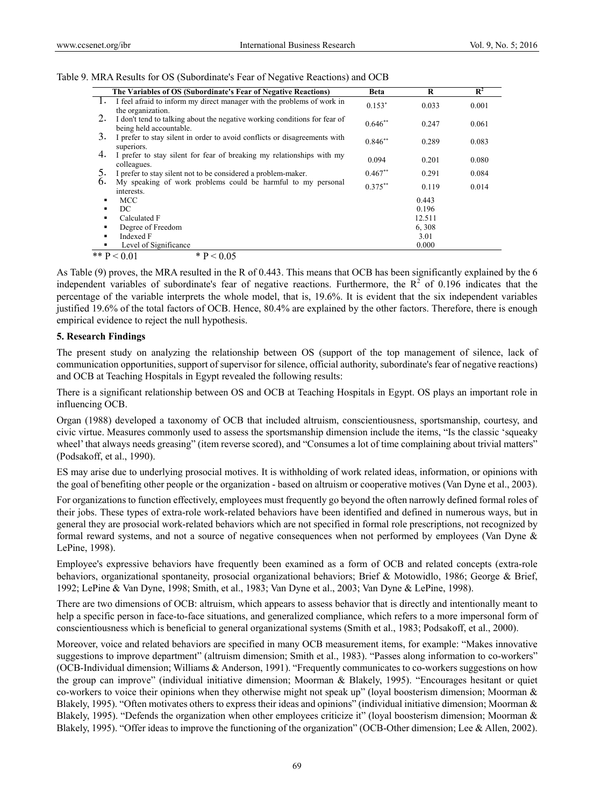| The Variables of OS (Subordinate's Fear of Negative Reactions) |                                                                                                      | Beta       | R      | $\mathbf{R}^2$ |
|----------------------------------------------------------------|------------------------------------------------------------------------------------------------------|------------|--------|----------------|
|                                                                | I feel afraid to inform my direct manager with the problems of work in<br>the organization.          | $0.153*$   | 0.033  | 0.001          |
| 2.                                                             | I don't tend to talking about the negative working conditions for fear of<br>being held accountable. | $0.646**$  | 0.247  | 0.061          |
| 3.                                                             | I prefer to stay silent in order to avoid conflicts or disagreements with<br>superiors.              | $0.846**$  | 0.289  | 0.083          |
| 4.                                                             | I prefer to stay silent for fear of breaking my relationships with my<br>colleagues.                 | 0.094      | 0.201  | 0.080          |
|                                                                | I prefer to stay silent not to be considered a problem-maker.                                        | $0.467**$  | 0.291  | 0.084          |
| 6.                                                             | My speaking of work problems could be harmful to my personal<br>interests.                           | $0.375***$ | 0.119  | 0.014          |
|                                                                | <b>MCC</b>                                                                                           |            | 0.443  |                |
|                                                                | DC.                                                                                                  |            | 0.196  |                |
|                                                                | Calculated F                                                                                         |            | 12.511 |                |
|                                                                | Degree of Freedom                                                                                    |            | 6,308  |                |
|                                                                | Indexed F                                                                                            |            | 3.01   |                |
|                                                                | Level of Significance                                                                                |            | 0.000  |                |

\*\*  $P < 0.01$  \* P  $< 0.05$ 

As Table (9) proves, the MRA resulted in the R of 0.443. This means that OCB has been significantly explained by the 6 independent variables of subordinate's fear of negative reactions. Furthermore, the  $R^2$  of 0.196 indicates that the percentage of the variable interprets the whole model, that is, 19.6%. It is evident that the six independent variables justified 19.6% of the total factors of OCB. Hence, 80.4% are explained by the other factors. Therefore, there is enough empirical evidence to reject the null hypothesis.

## **5. Research Findings**

The present study on analyzing the relationship between OS (support of the top management of silence, lack of communication opportunities, support of supervisor for silence, official authority, subordinate's fear of negative reactions) and OCB at Teaching Hospitals in Egypt revealed the following results:

There is a significant relationship between OS and OCB at Teaching Hospitals in Egypt. OS plays an important role in influencing OCB.

Organ (1988) developed a taxonomy of OCB that included altruism, conscientiousness, sportsmanship, courtesy, and civic virtue. Measures commonly used to assess the sportsmanship dimension include the items, "Is the classic 'squeaky wheel' that always needs greasing" (item reverse scored), and "Consumes a lot of time complaining about trivial matters" (Podsakoff, et al., 1990).

ES may arise due to underlying prosocial motives. It is withholding of work related ideas, information, or opinions with the goal of benefiting other people or the organization - based on altruism or cooperative motives (Van Dyne et al., 2003).

For organizations to function effectively, employees must frequently go beyond the often narrowly defined formal roles of their jobs. These types of extra-role work-related behaviors have been identified and defined in numerous ways, but in general they are prosocial work-related behaviors which are not specified in formal role prescriptions, not recognized by formal reward systems, and not a source of negative consequences when not performed by employees (Van Dyne & LePine, 1998).

Employee's expressive behaviors have frequently been examined as a form of OCB and related concepts (extra-role behaviors, organizational spontaneity, prosocial organizational behaviors; Brief & Motowidlo, 1986; George & Brief, 1992; LePine & Van Dyne, 1998; Smith, et al., 1983; Van Dyne et al., 2003; Van Dyne & LePine, 1998).

There are two dimensions of OCB: altruism, which appears to assess behavior that is directly and intentionally meant to help a specific person in face-to-face situations, and generalized compliance, which refers to a more impersonal form of conscientiousness which is beneficial to general organizational systems (Smith et al., 1983; Podsakoff, et al., 2000).

Moreover, voice and related behaviors are specified in many OCB measurement items, for example: "Makes innovative suggestions to improve department" (altruism dimension; Smith et al., 1983). "Passes along information to co-workers" (OCB-Individual dimension; Williams & Anderson, 1991). "Frequently communicates to co-workers suggestions on how the group can improve" (individual initiative dimension; Moorman & Blakely, 1995). "Encourages hesitant or quiet co-workers to voice their opinions when they otherwise might not speak up" (loyal boosterism dimension; Moorman & Blakely, 1995). "Often motivates others to express their ideas and opinions" (individual initiative dimension; Moorman & Blakely, 1995). "Defends the organization when other employees criticize it" (loyal boosterism dimension; Moorman & Blakely, 1995). "Offer ideas to improve the functioning of the organization" (OCB-Other dimension; Lee & Allen, 2002).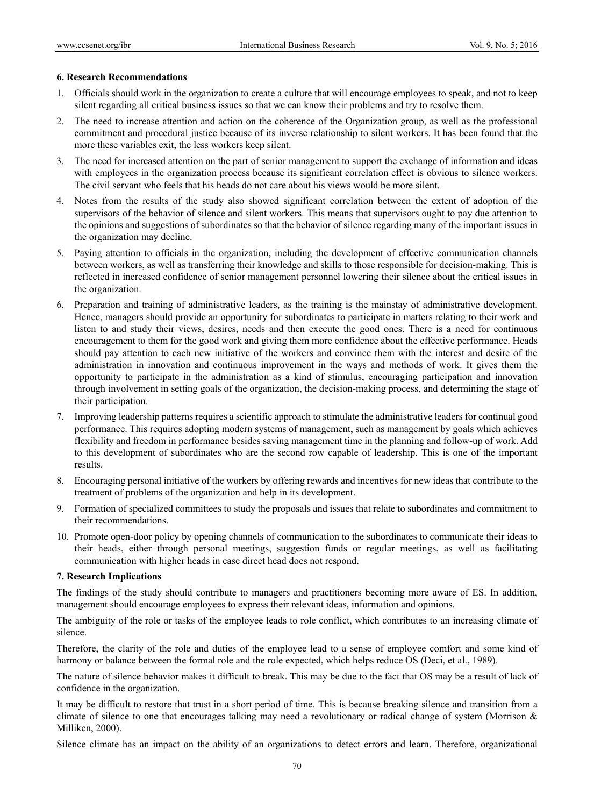## **6. Research Recommendations**

- 1. Officials should work in the organization to create a culture that will encourage employees to speak, and not to keep silent regarding all critical business issues so that we can know their problems and try to resolve them.
- 2. The need to increase attention and action on the coherence of the Organization group, as well as the professional commitment and procedural justice because of its inverse relationship to silent workers. It has been found that the more these variables exit, the less workers keep silent.
- 3. The need for increased attention on the part of senior management to support the exchange of information and ideas with employees in the organization process because its significant correlation effect is obvious to silence workers. The civil servant who feels that his heads do not care about his views would be more silent.
- 4. Notes from the results of the study also showed significant correlation between the extent of adoption of the supervisors of the behavior of silence and silent workers. This means that supervisors ought to pay due attention to the opinions and suggestions of subordinates so that the behavior of silence regarding many of the important issues in the organization may decline.
- 5. Paying attention to officials in the organization, including the development of effective communication channels between workers, as well as transferring their knowledge and skills to those responsible for decision-making. This is reflected in increased confidence of senior management personnel lowering their silence about the critical issues in the organization.
- 6. Preparation and training of administrative leaders, as the training is the mainstay of administrative development. Hence, managers should provide an opportunity for subordinates to participate in matters relating to their work and listen to and study their views, desires, needs and then execute the good ones. There is a need for continuous encouragement to them for the good work and giving them more confidence about the effective performance. Heads should pay attention to each new initiative of the workers and convince them with the interest and desire of the administration in innovation and continuous improvement in the ways and methods of work. It gives them the opportunity to participate in the administration as a kind of stimulus, encouraging participation and innovation through involvement in setting goals of the organization, the decision-making process, and determining the stage of their participation.
- 7. Improving leadership patterns requires a scientific approach to stimulate the administrative leaders for continual good performance. This requires adopting modern systems of management, such as management by goals which achieves flexibility and freedom in performance besides saving management time in the planning and follow-up of work. Add to this development of subordinates who are the second row capable of leadership. This is one of the important results.
- 8. Encouraging personal initiative of the workers by offering rewards and incentives for new ideas that contribute to the treatment of problems of the organization and help in its development.
- 9. Formation of specialized committees to study the proposals and issues that relate to subordinates and commitment to their recommendations.
- 10. Promote open-door policy by opening channels of communication to the subordinates to communicate their ideas to their heads, either through personal meetings, suggestion funds or regular meetings, as well as facilitating communication with higher heads in case direct head does not respond.

## **7. Research Implications**

The findings of the study should contribute to managers and practitioners becoming more aware of ES. In addition, management should encourage employees to express their relevant ideas, information and opinions.

The ambiguity of the role or tasks of the employee leads to role conflict, which contributes to an increasing climate of silence.

Therefore, the clarity of the role and duties of the employee lead to a sense of employee comfort and some kind of harmony or balance between the formal role and the role expected, which helps reduce OS (Deci, et al., 1989).

The nature of silence behavior makes it difficult to break. This may be due to the fact that OS may be a result of lack of confidence in the organization.

It may be difficult to restore that trust in a short period of time. This is because breaking silence and transition from a climate of silence to one that encourages talking may need a revolutionary or radical change of system (Morrison & Milliken, 2000).

Silence climate has an impact on the ability of an organizations to detect errors and learn. Therefore, organizational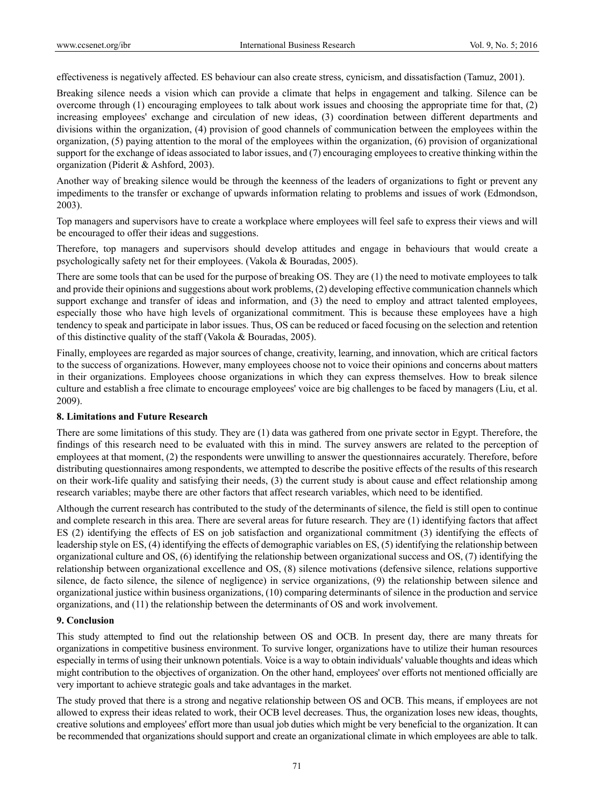effectiveness is negatively affected. ES behaviour can also create stress, cynicism, and dissatisfaction (Tamuz, 2001).

Breaking silence needs a vision which can provide a climate that helps in engagement and talking. Silence can be overcome through (1) encouraging employees to talk about work issues and choosing the appropriate time for that, (2) increasing employees' exchange and circulation of new ideas, (3) coordination between different departments and divisions within the organization, (4) provision of good channels of communication between the employees within the organization, (5) paying attention to the moral of the employees within the organization, (6) provision of organizational support for the exchange of ideas associated to labor issues, and (7) encouraging employees to creative thinking within the organization (Piderit & Ashford, 2003).

Another way of breaking silence would be through the keenness of the leaders of organizations to fight or prevent any impediments to the transfer or exchange of upwards information relating to problems and issues of work (Edmondson, 2003).

Top managers and supervisors have to create a workplace where employees will feel safe to express their views and will be encouraged to offer their ideas and suggestions.

Therefore, top managers and supervisors should develop attitudes and engage in behaviours that would create a psychologically safety net for their employees. (Vakola & Bouradas, 2005).

There are some tools that can be used for the purpose of breaking OS. They are (1) the need to motivate employees to talk and provide their opinions and suggestions about work problems, (2) developing effective communication channels which support exchange and transfer of ideas and information, and (3) the need to employ and attract talented employees, especially those who have high levels of organizational commitment. This is because these employees have a high tendency to speak and participate in labor issues. Thus, OS can be reduced or faced focusing on the selection and retention of this distinctive quality of the staff (Vakola & Bouradas, 2005).

Finally, employees are regarded as major sources of change, creativity, learning, and innovation, which are critical factors to the success of organizations. However, many employees choose not to voice their opinions and concerns about matters in their organizations. Employees choose organizations in which they can express themselves. How to break silence culture and establish a free climate to encourage employees' voice are big challenges to be faced by managers (Liu, et al. 2009).

## **8. Limitations and Future Research**

There are some limitations of this study. They are (1) data was gathered from one private sector in Egypt. Therefore, the findings of this research need to be evaluated with this in mind. The survey answers are related to the perception of employees at that moment, (2) the respondents were unwilling to answer the questionnaires accurately. Therefore, before distributing questionnaires among respondents, we attempted to describe the positive effects of the results of this research on their work-life quality and satisfying their needs, (3) the current study is about cause and effect relationship among research variables; maybe there are other factors that affect research variables, which need to be identified.

Although the current research has contributed to the study of the determinants of silence, the field is still open to continue and complete research in this area. There are several areas for future research. They are (1) identifying factors that affect ES (2) identifying the effects of ES on job satisfaction and organizational commitment (3) identifying the effects of leadership style on ES, (4) identifying the effects of demographic variables on ES, (5) identifying the relationship between organizational culture and OS, (6) identifying the relationship between organizational success and OS, (7) identifying the relationship between organizational excellence and OS, (8) silence motivations (defensive silence, relations supportive silence, de facto silence, the silence of negligence) in service organizations, (9) the relationship between silence and organizational justice within business organizations, (10) comparing determinants of silence in the production and service organizations, and (11) the relationship between the determinants of OS and work involvement.

## **9. Conclusion**

This study attempted to find out the relationship between OS and OCB. In present day, there are many threats for organizations in competitive business environment. To survive longer, organizations have to utilize their human resources especially in terms of using their unknown potentials. Voice is a way to obtain individuals' valuable thoughts and ideas which might contribution to the objectives of organization. On the other hand, employees' over efforts not mentioned officially are very important to achieve strategic goals and take advantages in the market.

The study proved that there is a strong and negative relationship between OS and OCB. This means, if employees are not allowed to express their ideas related to work, their OCB level decreases. Thus, the organization loses new ideas, thoughts, creative solutions and employees' effort more than usual job duties which might be very beneficial to the organization. It can be recommended that organizations should support and create an organizational climate in which employees are able to talk.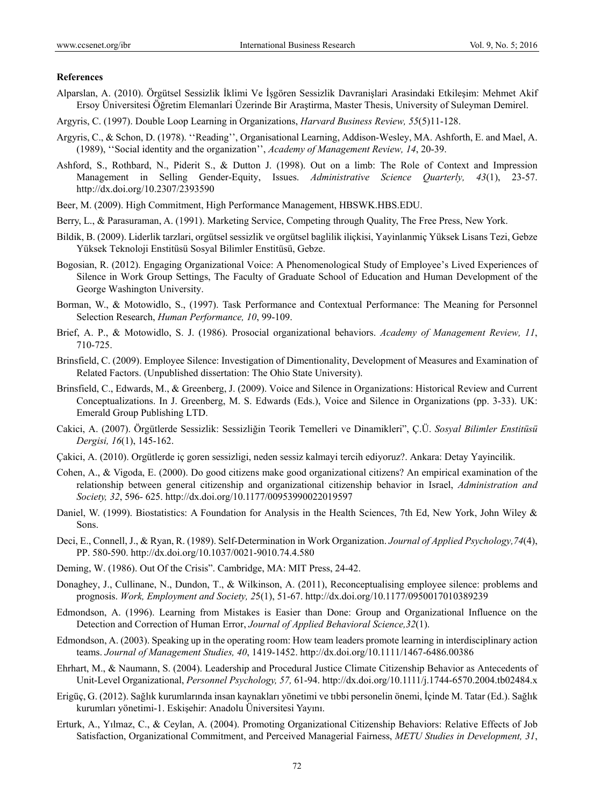#### **References**

- Alparslan, A. (2010). Örgütsel Sessizlik İklimi Ve İşgören Sessizlik Davranişlari Arasindaki Etkileşim: Mehmet Akif Ersoy Üniversitesi Öğretim Elemanlari Üzerinde Bir Araştirma, Master Thesis, University of Suleyman Demirel.
- Argyris, C. (1997). Double Loop Learning in Organizations, *Harvard Business Review, 55*(5)11-128.
- Argyris, C., & Schon, D. (1978). ''Reading'', Organisational Learning, Addison-Wesley, MA. Ashforth, E. and Mael, A. (1989), ''Social identity and the organization'', *Academy of Management Review, 14*, 20-39.
- Ashford, S., Rothbard, N., Piderit S., & Dutton J. (1998). Out on a limb: The Role of Context and Impression Management in Selling Gender-Equity, Issues. *Administrative Science Quarterly, 43*(1), 23-57. http://dx.doi.org/10.2307/2393590
- Beer, M. (2009). High Commitment, High Performance Management, HBSWK.HBS.EDU.
- Berry, L., & Parasuraman, A. (1991). Marketing Service, Competing through Quality, The Free Press, New York.
- Bildik, B. (2009). Liderlik tarzlari, orgütsel sessizlik ve orgütsel baglilik iliçkisi, Yayinlanmiç Yüksek Lisans Tezi, Gebze Yüksek Teknoloji Enstitüsü Sosyal Bilimler Enstitüsü, Gebze.
- Bogosian, R. (2012). Engaging Organizational Voice: A Phenomenological Study of Employee's Lived Experiences of Silence in Work Group Settings, The Faculty of Graduate School of Education and Human Development of the George Washington University.
- Borman, W., & Motowidlo, S., (1997). Task Performance and Contextual Performance: The Meaning for Personnel Selection Research, *Human Performance, 10*, 99-109.
- Brief, A. P., & Motowidlo, S. J. (1986). Prosocial organizational behaviors. *Academy of Management Review, 11*, 710-725.
- Brinsfield, C. (2009). Employee Silence: Investigation of Dimentionality, Development of Measures and Examination of Related Factors. (Unpublished dissertation: The Ohio State University).
- Brinsfield, C., Edwards, M., & Greenberg, J. (2009). Voice and Silence in Organizations: Historical Review and Current Conceptualizations. In J. Greenberg, M. S. Edwards (Eds.), Voice and Silence in Organizations (pp. 3-33). UK: Emerald Group Publishing LTD.
- Cakici, A. (2007). Örgütlerde Sessizlik: Sessizliğin Teorik Temelleri ve Dinamikleri", Ç.Ü. *Sosyal Bilimler Enstitüsü Dergisi, 16*(1), 145-162.
- Çakici, A. (2010). Orgütlerde iç goren sessizligi, neden sessiz kalmayi tercih ediyoruz?. Ankara: Detay Yayincilik.
- Cohen, A., & Vigoda, E. (2000). Do good citizens make good organizational citizens? An empirical examination of the relationship between general citizenship and organizational citizenship behavior in Israel, *Administration and Society, 32*, 596- 625. http://dx.doi.org/10.1177/00953990022019597
- Daniel, W. (1999). Biostatistics: A Foundation for Analysis in the Health Sciences, 7th Ed, New York, John Wiley & Sons.
- Deci, E., Connell, J., & Ryan, R. (1989). Self-Determination in Work Organization. *Journal of Applied Psychology,74*(4), PP. 580-590. http://dx.doi.org/10.1037/0021-9010.74.4.580
- Deming, W. (1986). Out Of the Crisis". Cambridge, MA: MIT Press, 24-42.
- Donaghey, J., Cullinane, N., Dundon, T., & Wilkinson, A. (2011), Reconceptualising employee silence: problems and prognosis. *Work, Employment and Society, 2*5(1), 51-67. http://dx.doi.org/10.1177/0950017010389239
- Edmondson, A. (1996). Learning from Mistakes is Easier than Done: Group and Organizational Influence on the Detection and Correction of Human Error, *Journal of Applied Behavioral Science,32*(1).
- Edmondson, A. (2003). Speaking up in the operating room: How team leaders promote learning in interdisciplinary action teams. *Journal of Management Studies, 40*, 1419-1452. http://dx.doi.org/10.1111/1467-6486.00386
- Ehrhart, M., & Naumann, S. (2004). Leadership and Procedural Justice Climate Citizenship Behavior as Antecedents of Unit-Level Organizational, *Personnel Psychology, 57,* 61-94. http://dx.doi.org/10.1111/j.1744-6570.2004.tb02484.x
- Erigüç, G. (2012). Sağlık kurumlarında insan kaynakları yönetimi ve tıbbi personelin önemi, İçinde M. Tatar (Ed.). Sağlık kurumları yönetimi-1. Eskişehir: Anadolu Üniversitesi Yayını.
- Erturk, A., Yılmaz, C., & Ceylan, A. (2004). Promoting Organizational Citizenship Behaviors: Relative Effects of Job Satisfaction, Organizational Commitment, and Perceived Managerial Fairness, *METU Studies in Development, 31*,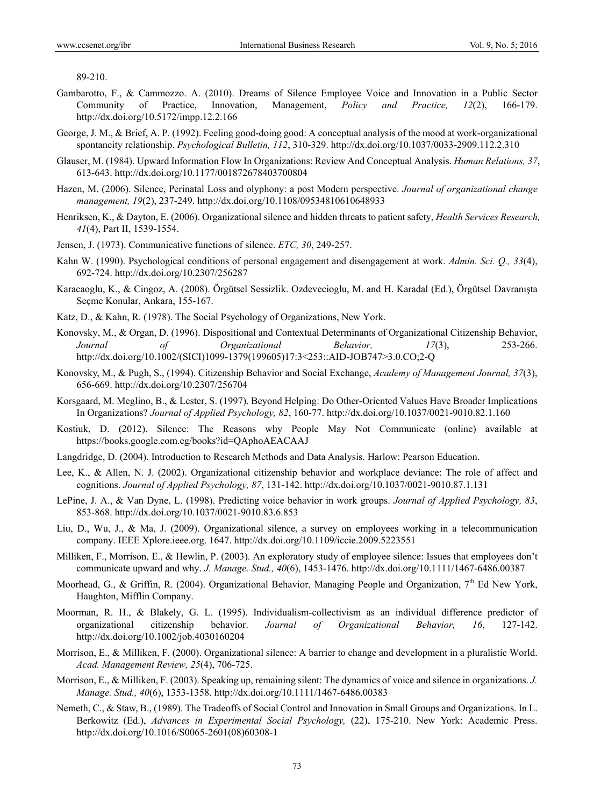89-210.

- Gambarotto, F., & Cammozzo. A. (2010). Dreams of Silence Employee Voice and Innovation in a Public Sector Community of Practice, Innovation, Management, *Policy and Practice, 12*(2), 166-179. http://dx.doi.org/10.5172/impp.12.2.166
- George, J. M., & Brief, A. P. (1992). Feeling good-doing good: A conceptual analysis of the mood at work-organizational spontaneity relationship. *Psychological Bulletin, 112*, 310-329. http://dx.doi.org/10.1037/0033-2909.112.2.310
- Glauser, M. (1984). Upward Information Flow In Organizations: Review And Conceptual Analysis. *Human Relations, 37*, 613-643. http://dx.doi.org/10.1177/001872678403700804
- Hazen, M. (2006). Silence, Perinatal Loss and olyphony: a post Modern perspective. *Journal of organizational change management, 19*(2), 237-249. http://dx.doi.org/10.1108/09534810610648933
- Henriksen, K., & Dayton, E. (2006). Organizational silence and hidden threats to patient safety, *Health Services Research, 41*(4), Part II, 1539-1554.
- Jensen, J. (1973). Communicative functions of silence. *ETC, 30*, 249-257.
- Kahn W. (1990). Psychological conditions of personal engagement and disengagement at work. *Admin. Sci. Q., 33*(4), 692-724. http://dx.doi.org/10.2307/256287
- Karacaoglu, K., & Cingoz, A. (2008). Örgütsel Sessizlik. Ozdevecioglu, M. and H. Karadal (Ed.), Örgütsel Davranışta Seçme Konular, Ankara, 155-167.
- Katz, D., & Kahn, R. (1978). The Social Psychology of Organizations, New York.
- Konovsky, M., & Organ, D. (1996). Dispositional and Contextual Determinants of Organizational Citizenship Behavior, *Journal of Organizational Behavior, 17*(3), 253-266. http://dx.doi.org/10.1002/(SICI)1099-1379(199605)17:3<253::AID-JOB747>3.0.CO;2-Q
- Konovsky, M., & Pugh, S., (1994). Citizenship Behavior and Social Exchange, *Academy of Management Journal, 37*(3), 656-669. http://dx.doi.org/10.2307/256704
- Korsgaard, M. Meglino, B., & Lester, S. (1997). Beyond Helping: Do Other-Oriented Values Have Broader Implications In Organizations? *Journal of Applied Psychology, 82*, 160-77. http://dx.doi.org/10.1037/0021-9010.82.1.160
- Kostiuk, D. (2012). Silence: The Reasons why People May Not Communicate (online) available at https://books.google.com.eg/books?id=QAphoAEACAAJ
- Langdridge, D. (2004). Introduction to Research Methods and Data Analysis. Harlow: Pearson Education.
- Lee, K., & Allen, N. J. (2002). Organizational citizenship behavior and workplace deviance: The role of affect and cognitions. *Journal of Applied Psychology, 87*, 131-142. http://dx.doi.org/10.1037/0021-9010.87.1.131
- LePine, J. A., & Van Dyne, L. (1998). Predicting voice behavior in work groups. *Journal of Applied Psychology, 83*, 853-868. http://dx.doi.org/10.1037/0021-9010.83.6.853
- Liu, D., Wu, J., & Ma, J. (2009). Organizational silence, a survey on employees working in a telecommunication company. IEEE Xplore.ieee.org. 1647. http://dx.doi.org/10.1109/iccie.2009.5223551
- Milliken, F., Morrison, E., & Hewlin, P. (2003). An exploratory study of employee silence: Issues that employees don't communicate upward and why. *J. Manage. Stud., 40*(6), 1453-1476. http://dx.doi.org/10.1111/1467-6486.00387
- Moorhead, G., & Griffin, R. (2004). Organizational Behavior, Managing People and Organization. 7<sup>th</sup> Ed New York. Haughton, Mifflin Company.
- Moorman, R. H., & Blakely, G. L. (1995). Individualism-collectivism as an individual difference predictor of organizational citizenship behavior. *Journal of Organizational Behavior, 16*, 127-142. http://dx.doi.org/10.1002/job.4030160204
- Morrison, E., & Milliken, F. (2000). Organizational silence: A barrier to change and development in a pluralistic World. *Acad. Management Review, 25*(4), 706-725.
- Morrison, E., & Milliken, F. (2003). Speaking up, remaining silent: The dynamics of voice and silence in organizations. *J. Manage. Stud., 40*(6), 1353-1358. http://dx.doi.org/10.1111/1467-6486.00383
- Nemeth, C., & Staw, B., (1989). The Tradeoffs of Social Control and Innovation in Small Groups and Organizations. In L. Berkowitz (Ed.), *Advances in Experimental Social Psychology,* (22), 175-210. New York: Academic Press. http://dx.doi.org/10.1016/S0065-2601(08)60308-1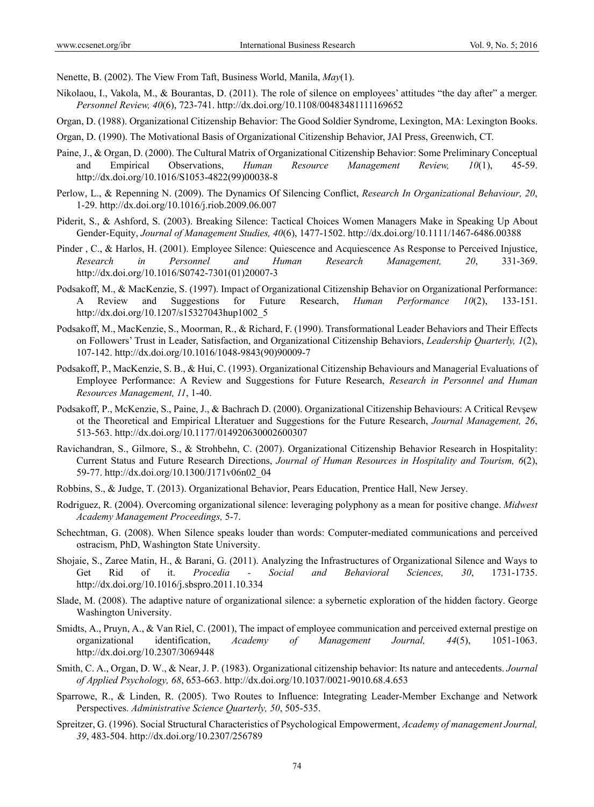Nenette, B. (2002). The View From Taft, Business World, Manila, *May*(1).

- Nikolaou, I., Vakola, M., & Bourantas, D. (2011). The role of silence on employees' attitudes "the day after" a merger. *Personnel Review, 40*(6), 723-741. http://dx.doi.org/10.1108/00483481111169652
- Organ, D. (1988). Organizational Citizenship Behavior: The Good Soldier Syndrome, Lexington, MA: Lexington Books.
- Organ, D. (1990). The Motivational Basis of Organizational Citizenship Behavior, JAI Press, Greenwich, CT.
- Paine, J., & Organ, D. (2000). The Cultural Matrix of Organizational Citizenship Behavior: Some Preliminary Conceptual and Empirical Observations, *Human Resource Management Review, 10*(1), 45-59. http://dx.doi.org/10.1016/S1053-4822(99)00038-8
- Perlow, L., & Repenning N. (2009). The Dynamics Of Silencing Conflict, *Research In Organizational Behaviour, 20*, 1-29. http://dx.doi.org/10.1016/j.riob.2009.06.007
- Piderit, S., & Ashford, S. (2003). Breaking Silence: Tactical Choices Women Managers Make in Speaking Up About Gender-Equity, *Journal of Management Studies, 40*(6), 1477-1502. http://dx.doi.org/10.1111/1467-6486.00388
- Pinder , C., & Harlos, H. (2001). Employee Silence: Quiescence and Acquiescence As Response to Perceived Injustice, *Research in Personnel and Human Research Management, 20*, 331-369. http://dx.doi.org/10.1016/S0742-7301(01)20007-3
- Podsakoff, M., & MacKenzie, S. (1997). Impact of Organizational Citizenship Behavior on Organizational Performance: A Review and Suggestions for Future Research, *Human Performance 10*(2), 133-151. http://dx.doi.org/10.1207/s15327043hup1002\_5
- Podsakoff, M., MacKenzie, S., Moorman, R., & Richard, F. (1990). Transformational Leader Behaviors and Their Effects on Followers' Trust in Leader, Satisfaction, and Organizational Citizenship Behaviors, *Leadership Quarterly, 1*(2), 107-142. http://dx.doi.org/10.1016/1048-9843(90)90009-7
- Podsakoff, P., MacKenzie, S. B., & Hui, C. (1993). Organizational Citizenship Behaviours and Managerial Evaluations of Employee Performance: A Review and Suggestions for Future Research, *Research in Personnel and Human Resources Management, 11*, 1-40.
- Podsakoff, P., McKenzie, S., Paine, J., & Bachrach D. (2000). Organizational Citizenship Behaviours: A Critical Revşew ot the Theoretical and Empirical Lİteratuer and Suggestions for the Future Research, *Journal Management, 26*, 513-563. http://dx.doi.org/10.1177/014920630002600307
- Ravichandran, S., Gilmore, S., & Strohbehn, C. (2007). Organizational Citizenship Behavior Research in Hospitality: Current Status and Future Research Directions, *Journal of Human Resources in Hospitality and Tourism, 6*(2), 59-77. http://dx.doi.org/10.1300/J171v06n02\_04
- Robbins, S., & Judge, T. (2013). Organizational Behavior, Pears Education, Prentice Hall, New Jersey.
- Rodriguez, R. (2004). Overcoming organizational silence: leveraging polyphony as a mean for positive change. *Midwest Academy Management Proceedings,* 5-7.
- Schechtman, G. (2008). When Silence speaks louder than words: Computer-mediated communications and perceived ostracism, PhD, Washington State University.
- Shojaie, S., Zaree Matin, H., & Barani, G. (2011). Analyzing the Infrastructures of Organizational Silence and Ways to Get Rid of it. *Procedia - Social and Behavioral Sciences, 30*, 1731-1735. http://dx.doi.org/10.1016/j.sbspro.2011.10.334
- Slade, M. (2008). The adaptive nature of organizational silence: a sybernetic exploration of the hidden factory. George Washington University.
- Smidts, A., Pruyn, A., & Van Riel, C. (2001), The impact of employee communication and perceived external prestige on organizational identification, *Academy of Management Journal, 44*(5), 1051-1063. http://dx.doi.org/10.2307/3069448
- Smith, C. A., Organ, D. W., & Near, J. P. (1983). Organizational citizenship behavior: Its nature and antecedents. *Journal of Applied Psychology, 68*, 653-663. http://dx.doi.org/10.1037/0021-9010.68.4.653
- Sparrowe, R., & Linden, R. (2005). Two Routes to Influence: Integrating Leader-Member Exchange and Network Perspectives. *Administrative Science Quarterly, 50*, 505-535.
- Spreitzer, G. (1996). Social Structural Characteristics of Psychological Empowerment, *Academy of management Journal, 39*, 483-504. http://dx.doi.org/10.2307/256789